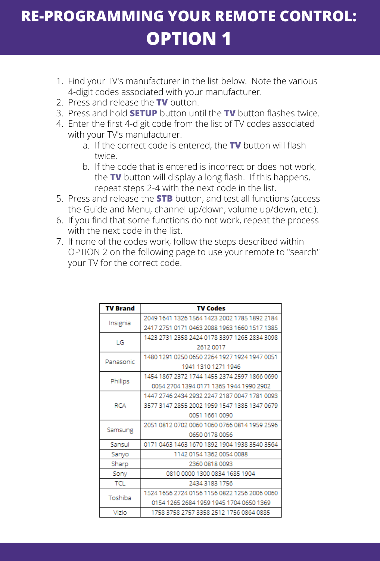# **RE-PROGRAMMING YOUR REMOTE CONTROL: OPTION 1**

- 1. Find your TV's manufacturer in the list below. Note the various 4-digit codes associated with your manufacturer.
- 2. Press and release the **TV** button.
- 3. Press and hold **SETUP** button until the **TV** button flashes twice.
- 4. Enter the first 4-digit code from the list of TV codes associated with your TV's manufacturer.
	- a. If the correct code is entered, the **TV** button will flash twice.
	- b. If the code that is entered is incorrect or does not work, the **TV** button will display a long flash. If this happens, repeat steps 2-4 with the next code in the list.
- 5. Press and release the **STB** button, and test all functions (access the Guide and Menu, channel up/down, volume up/down, etc.).
- 6. If you find that some functions do not work, repeat the process with the next code in the list.
- 7. If none of the codes work, follow the steps described within OPTION 2 on the following page to use your remote to "search" your TV for the correct code.

| <b>TV Brand</b> | <b>TV Codes</b>                              |
|-----------------|----------------------------------------------|
| Insignia        | 2049 1641 1326 1564 1423 2002 1785 1892 2184 |
|                 | 2417 2751 0171 0463 2088 1963 1660 1517 1385 |
| LG              | 1423 2731 2358 2424 0178 3397 1265 2834 3098 |
|                 | 2612 0017                                    |
| Panasonic       | 1480 1291 0250 0650 2264 1927 1924 1947 0051 |
|                 | 1941 1310 1271 1946                          |
| Philips         | 1454 1867 2372 1744 1455 2374 2597 1866 0690 |
|                 | 0054 2704 1394 0171 1365 1944 1990 2902      |
| <b>RCA</b>      | 1447 2746 2434 2932 2247 2187 0047 1781 0093 |
|                 | 3577 3147 2855 2002 1959 1547 1385 1347 0679 |
|                 | 0051 1661 0090                               |
| Samsung         | 2051 0812 0702 0060 1060 0766 0814 1959 2596 |
|                 | 0650 0178 0056                               |
| Sansui          | 0171 0463 1463 1670 1892 1904 1938 3540 3564 |
| Sanyo           | 1142 0154 1362 0054 0088                     |
| Sharp           | 2360 0818 0093                               |
| Sony            | 0810 0000 1300 0834 1685 1904                |
| <b>TCL</b>      | 2434 3183 1756                               |
| Toshiba         | 1524 1656 2724 0156 1156 0822 1256 2006 0060 |
|                 | 0154 1265 2684 1959 1945 1704 0650 1369      |
| Vizio           | 1758 3758 2757 3358 2512 1756 0864 0885      |